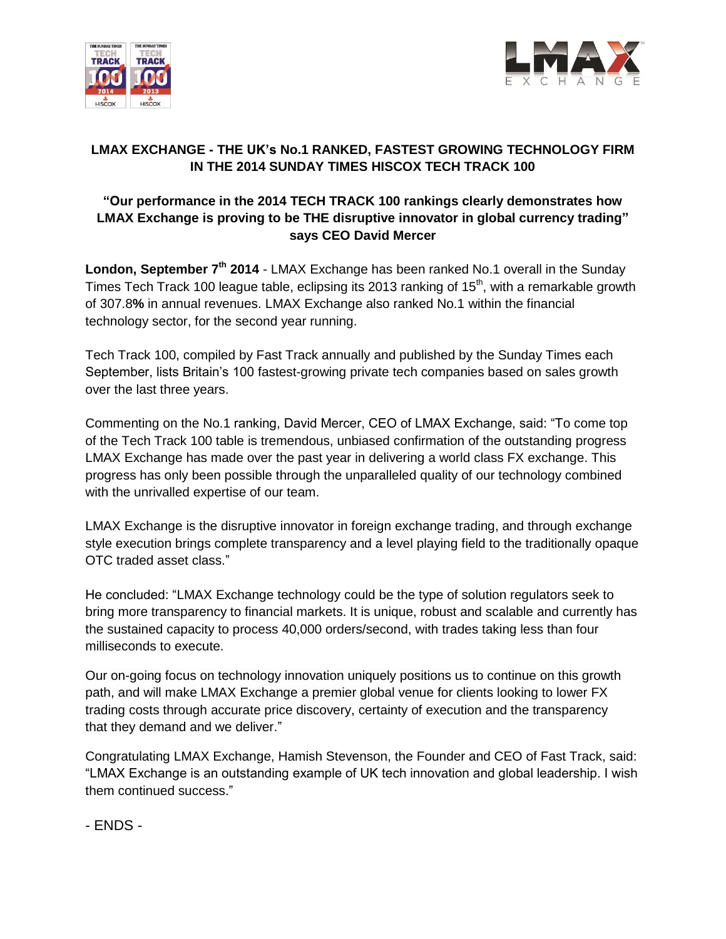



## **LMAX EXCHANGE - THE UK's No.1 RANKED, FASTEST GROWING TECHNOLOGY FIRM IN THE 2014 SUNDAY TIMES HISCOX TECH TRACK 100**

## **"Our performance in the 2014 TECH TRACK 100 rankings clearly demonstrates how LMAX Exchange is proving to be THE disruptive innovator in global currency trading" says CEO David Mercer**

London, September 7<sup>th</sup> 2014 - LMAX Exchange has been ranked No.1 overall in the Sunday Times Tech Track 100 league table, eclipsing its 2013 ranking of 15<sup>th</sup>, with a remarkable growth of 307.8**%** in annual revenues. LMAX Exchange also ranked No.1 within the financial technology sector, for the second year running.

Tech Track 100, compiled by Fast Track annually and published by the Sunday Times each September, lists Britain's 100 fastest-growing private tech companies based on sales growth over the last three years.

Commenting on the No.1 ranking, David Mercer, CEO of LMAX Exchange, said: "To come top of the Tech Track 100 table is tremendous, unbiased confirmation of the outstanding progress LMAX Exchange has made over the past year in delivering a world class FX exchange. This progress has only been possible through the unparalleled quality of our technology combined with the unrivalled expertise of our team.

LMAX Exchange is the disruptive innovator in foreign exchange trading, and through exchange style execution brings complete transparency and a level playing field to the traditionally opaque OTC traded asset class."

He concluded: "LMAX Exchange technology could be the type of solution regulators seek to bring more transparency to financial markets. It is unique, robust and scalable and currently has the sustained capacity to process 40,000 orders/second, with trades taking less than four milliseconds to execute.

Our on-going focus on technology innovation uniquely positions us to continue on this growth path, and will make LMAX Exchange a premier global venue for clients looking to lower FX trading costs through accurate price discovery, certainty of execution and the transparency that they demand and we deliver."

Congratulating LMAX Exchange, Hamish Stevenson, the Founder and CEO of Fast Track, said: "LMAX Exchange is an outstanding example of UK tech innovation and global leadership. I wish them continued success."

- ENDS -